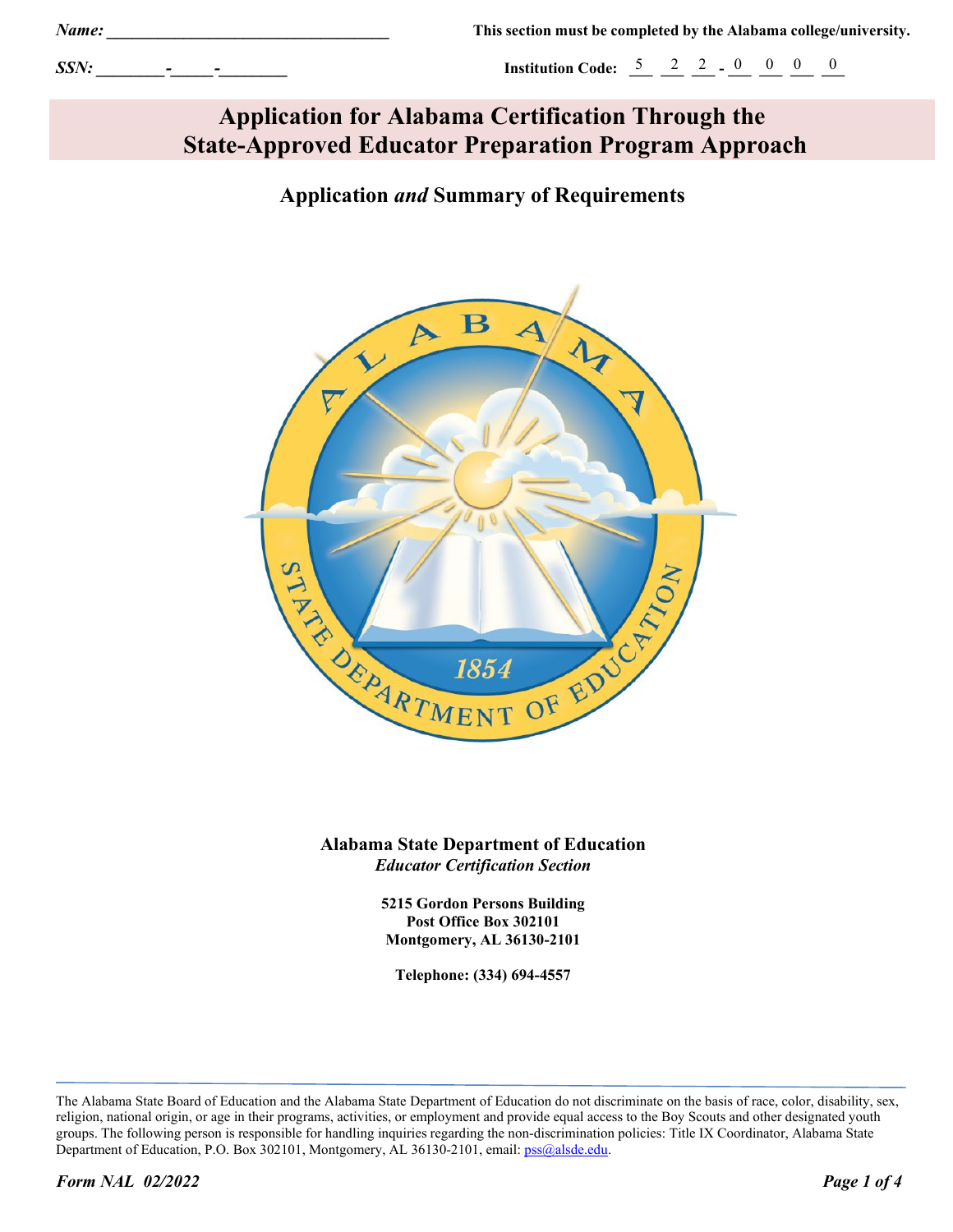*SSN: \_\_\_\_\_\_\_\_-\_\_\_\_\_-\_\_\_\_\_\_\_\_* **Institution Code: \_\_\_ \_\_\_ \_\_\_ - \_\_\_ \_\_\_ \_\_\_ \_\_\_** 5 2 2 0 0 0 0

# **Application for Alabama Certification Through the State-Approved Educator Preparation Program Approach**

# **Application** *and* **Summary of Requirements**



**Alabama State Department of Education**  *Educator Certification Section*

> **5215 Gordon Persons Building Post Office Box 302101 Montgomery, AL 36130-2101**

**Telephone: (334) 694-4557**

The Alabama State Board of Education and the Alabama State Department of Education do not discriminate on the basis of race, color, disability, sex, religion, national origin, or age in their programs, activities, or employment and provide equal access to the Boy Scouts and other designated youth groups. The following person is responsible for handling inquiries regarding the non-discrimination policies: Title IX Coordinator, Alabama State Department of Education, P.O. Box 302101, Montgomery, AL 36130-2101, email: pss@alsde.edu.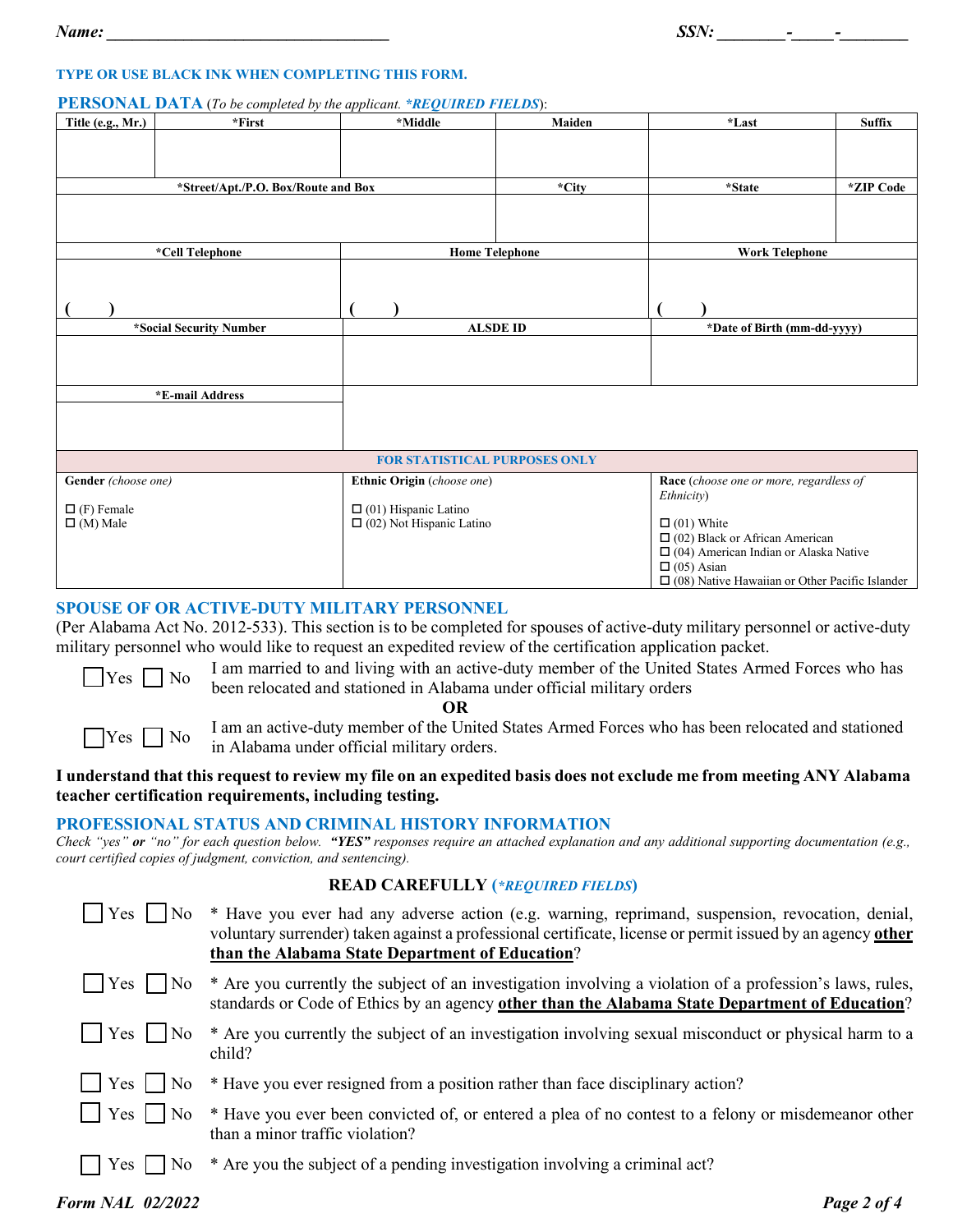#### **TYPE OR USE BLACK INK WHEN COMPLETING THIS FORM.**

#### **PERSONAL DATA** (*To be completed by the applicant. \*REQUIRED FIELDS*):

| Title (e.g., Mr.)                    | $*First$ | *Middle                                                        | Maiden | *Last                                                 | <b>Suffix</b> |
|--------------------------------------|----------|----------------------------------------------------------------|--------|-------------------------------------------------------|---------------|
|                                      |          |                                                                |        |                                                       |               |
|                                      |          |                                                                |        |                                                       |               |
| *Street/Apt./P.O. Box/Route and Box  |          |                                                                | *City  | *State                                                | *ZIP Code     |
|                                      |          |                                                                |        |                                                       |               |
|                                      |          |                                                                |        |                                                       |               |
|                                      |          |                                                                |        |                                                       |               |
| *Cell Telephone                      |          | <b>Home Telephone</b>                                          |        | <b>Work Telephone</b>                                 |               |
|                                      |          |                                                                |        |                                                       |               |
|                                      |          |                                                                |        |                                                       |               |
|                                      |          |                                                                |        |                                                       |               |
| *Social Security Number              |          | <b>ALSDE ID</b>                                                |        | *Date of Birth (mm-dd-yyyy)                           |               |
|                                      |          |                                                                |        |                                                       |               |
|                                      |          |                                                                |        |                                                       |               |
|                                      |          |                                                                |        |                                                       |               |
| *E-mail Address                      |          |                                                                |        |                                                       |               |
|                                      |          |                                                                |        |                                                       |               |
|                                      |          |                                                                |        |                                                       |               |
|                                      |          | <b>FOR STATISTICAL PURPOSES ONLY</b>                           |        |                                                       |               |
| Gender (choose one)                  |          | Ethnic Origin (choose one)                                     |        | Race (choose one or more, regardless of               |               |
|                                      |          |                                                                |        | Ethnicity)                                            |               |
| $\Box$ (F) Female<br>$\Box$ (M) Male |          | $\Box$ (01) Hispanic Latino<br>$\Box$ (02) Not Hispanic Latino |        | $\Box$ (01) White                                     |               |
|                                      |          |                                                                |        | $\Box$ (02) Black or African American                 |               |
|                                      |          |                                                                |        | $\Box$ (04) American Indian or Alaska Native          |               |
|                                      |          |                                                                |        | $\Box$ (05) Asian                                     |               |
|                                      |          |                                                                |        | $\Box$ (08) Native Hawaiian or Other Pacific Islander |               |

# **SPOUSE OF OR ACTIVE-DUTY MILITARY PERSONNEL**

(Per Alabama Act No. 2012-533). This section is to be completed for spouses of active-duty military personnel or active-duty military personnel who would like to request an expedited review of the certification application packet.

 $\gamma_{\text{res}}$   $\Box$  No I am married to and living with an active-duty member of the United States Armed Forces who has been relocated and stationed in Alabama under official military orders

 **OR**



 $\Box$  Yes  $\Box$  No I am an active-duty member of the United States Armed Forces who has been relocated and stationed in Alabama under official military orders.

#### **I understand that this request to review my file on an expedited basis does not exclude me from meeting ANY Alabama teacher certification requirements, including testing.**

#### **PROFESSIONAL STATUS AND CRIMINAL HISTORY INFORMATION**

*Check "yes" or "no" for each question below.**"YES" responses require an attached explanation and any additional supporting documentation (e.g., court certified copies of judgment, conviction, and sentencing).*

#### **READ CAREFULLY (***\*REQUIRED FIELDS***)**

| $ Yes $   No     | * Have you ever had any adverse action (e.g. warning, reprimand, suspension, revocation, denial,<br>voluntary surrender) taken against a professional certificate, license or permit issued by an agency other<br>than the Alabama State Department of Education? |
|------------------|-------------------------------------------------------------------------------------------------------------------------------------------------------------------------------------------------------------------------------------------------------------------|
| $ $   Yes     No | * Are you currently the subject of an investigation involving a violation of a profession's laws, rules,<br>standards or Code of Ethics by an agency other than the Alabama State Department of Education?                                                        |
| $ $   Yes     No | * Are you currently the subject of an investigation involving sexual misconduct or physical harm to a<br>child?                                                                                                                                                   |
|                  | $\vert$ Yes $\vert$ No $*$ Have you ever resigned from a position rather than face disciplinary action?                                                                                                                                                           |
|                  | $\Box$ Yes $\Box$ No $*$ Have you ever been convicted of, or entered a plea of no contest to a felony or misdemeanor other<br>than a minor traffic violation?                                                                                                     |
| Yes     No       | * Are you the subject of a pending investigation involving a criminal act?                                                                                                                                                                                        |

#### *Form NAL 02/2022 Page 2 of 4*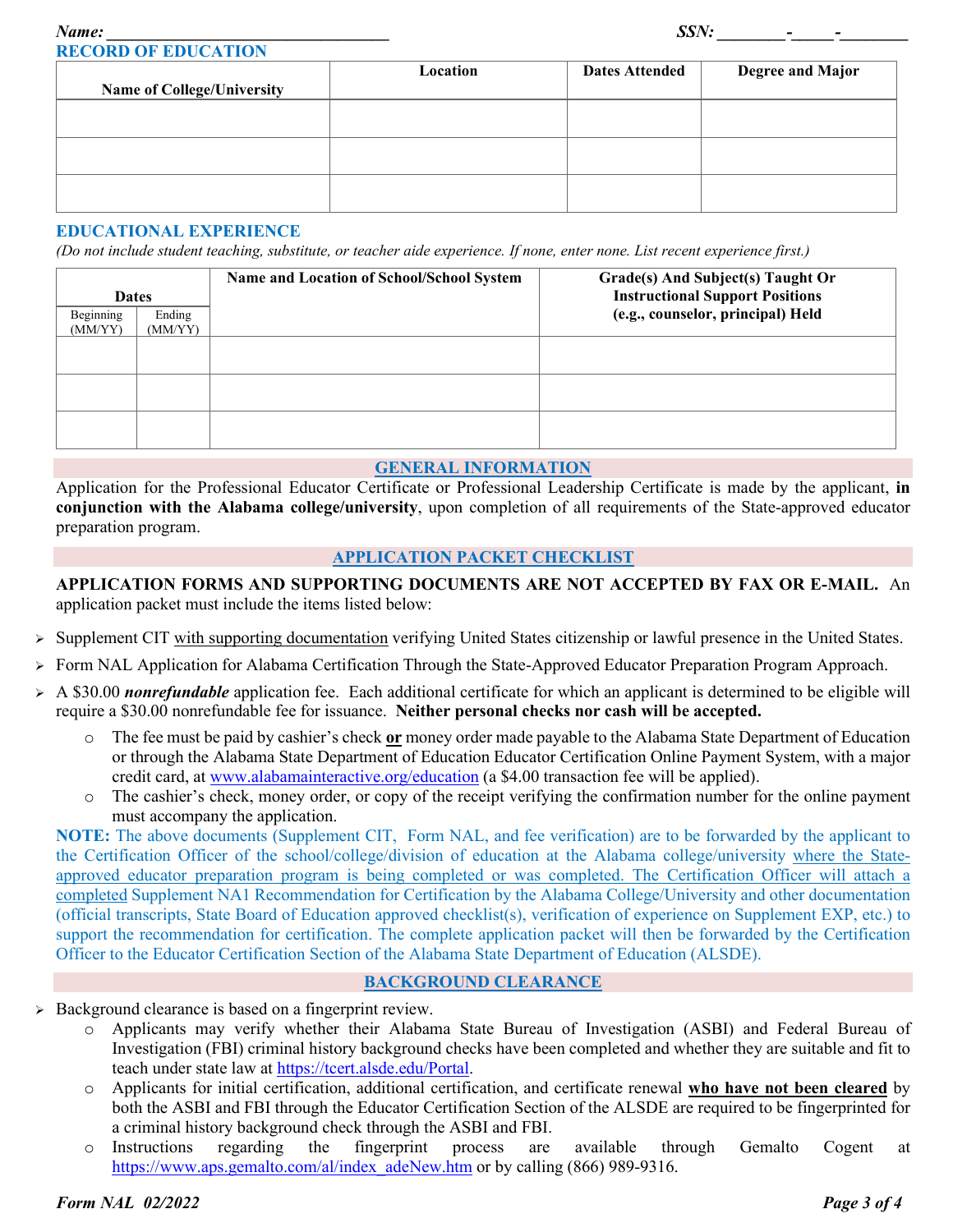| <b>Name of College/University</b> | Location | <b>Dates Attended</b> | <b>Degree and Major</b> |
|-----------------------------------|----------|-----------------------|-------------------------|
|                                   |          |                       |                         |
|                                   |          |                       |                         |
|                                   |          |                       |                         |

#### **EDUCATIONAL EXPERIENCE**

*(Do not include student teaching, substitute, or teacher aide experience. If none, enter none. List recent experience first.)*

| <b>Dates</b>         |                   | Name and Location of School/School System | Grade(s) And Subject(s) Taught Or<br><b>Instructional Support Positions</b> |  |  |
|----------------------|-------------------|-------------------------------------------|-----------------------------------------------------------------------------|--|--|
| Beginning<br>(MM/YY) | Ending<br>(MM/YY) |                                           | (e.g., counselor, principal) Held                                           |  |  |
|                      |                   |                                           |                                                                             |  |  |
|                      |                   |                                           |                                                                             |  |  |
|                      |                   |                                           |                                                                             |  |  |

#### **GENERAL INFORMATION**

Application for the Professional Educator Certificate or Professional Leadership Certificate is made by the applicant, **in conjunction with the Alabama college/university**, upon completion of all requirements of the State-approved educator preparation program.

#### **APPLICATION PACKET CHECKLIST**

**APPLICATION FORMS AND SUPPORTING DOCUMENTS ARE NOT ACCEPTED BY FAX OR E-MAIL.** An application packet must include the items listed below:

- Supplement CIT with supporting documentation verifying United States citizenship or lawful presence in the United States.
- Form NAL Application for Alabama Certification Through the State-Approved Educator Preparation Program Approach.
- A \$30.00 *nonrefundable* application fee. Each additional certificate for which an applicant is determined to be eligible will require a \$30.00 nonrefundable fee for issuance. **Neither personal checks nor cash will be accepted.**
	- o The fee must be paid by cashier's check **or** money order made payable to the Alabama State Department of Education or through the Alabama State Department of Education Educator Certification Online Payment System, with a major credit card, at [www.alabamainteractive.org/education](http://www.alabamainteractive.org/education) (a \$4.00 transaction fee will be applied).
	- o The cashier's check, money order, or copy of the receipt verifying the confirmation number for the online payment must accompany the application.

**NOTE:** The above documents (Supplement CIT, Form NAL, and fee verification) are to be forwarded by the applicant to the Certification Officer of the school/college/division of education at the Alabama college/university where the Stateapproved educator preparation program is being completed or was completed. The Certification Officer will attach a completed Supplement NA1 Recommendation for Certification by the Alabama College/University and other documentation (official transcripts, State Board of Education approved checklist(s), verification of experience on Supplement EXP, etc.) to support the recommendation for certification. The complete application packet will then be forwarded by the Certification Officer to the Educator Certification Section of the Alabama State Department of Education (ALSDE).

#### **BACKGROUND CLEARANCE**

- Background clearance is based on a fingerprint review.
	- o Applicants may verify whether their Alabama State Bureau of Investigation (ASBI) and Federal Bureau of Investigation (FBI) criminal history background checks have been completed and whether they are suitable and fit to teach under state law at [https://tcert.alsde.edu/Portal.](https://tcert.alsde.edu/Portal)
	- o Applicants for initial certification, additional certification, and certificate renewal **who have not been cleared** by both the ASBI and FBI through the Educator Certification Section of the ALSDE are required to be fingerprinted for a criminal history background check through the ASBI and FBI.
	- o Instructions regarding the fingerprint process are available through Gemalto Cogent at [https://www.aps.gemalto.com/al/index\\_adeNew.htm](https://www.aps.gemalto.com/al/index_adeNew.htm) or by calling (866) 989-9316.